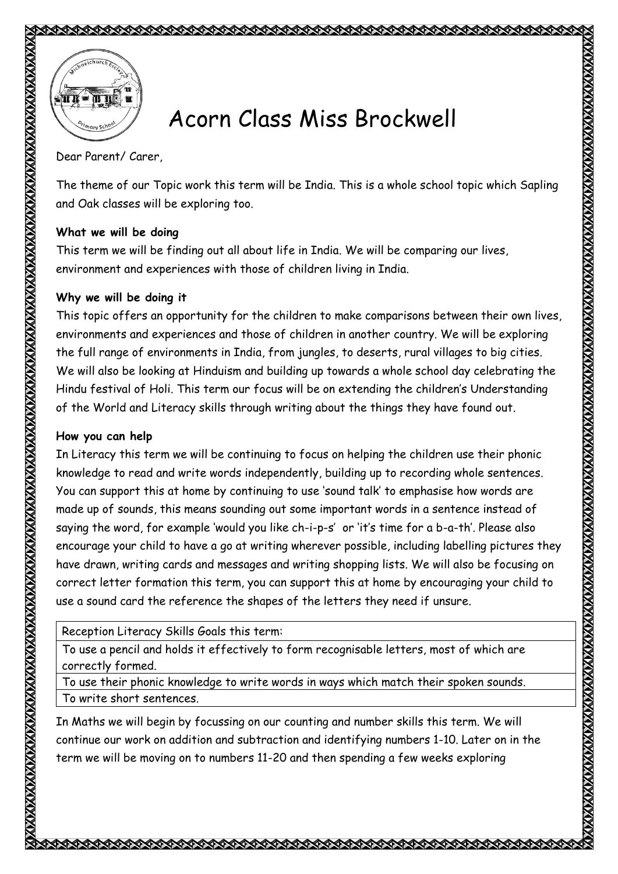



## Acorn Class Miss Brockwell

Dear Parent/ Carer,

The theme of our Topic work this term will be India. This is a whole school topic which Sapling and Oak classes will be exploring too.

## **What we will be doing**

This term we will be finding out all about life in India. We will be comparing our lives, environment and experiences with those of children living in India.

## **Why we will be doing it**

This topic offers an opportunity for the children to make comparisons between their own lives, environments and experiences and those of children in another country. We will be exploring the full range of environments in India, from jungles, to deserts, rural villages to big cities. We will also be looking at Hinduism and building up towards a whole school day celebrating the Hindu festival of Holi. This term our focus will be on extending the children's Understanding of the World and Literacy skills through writing about the things they have found out.

## **How you can help**

In Literacy this term we will be continuing to focus on helping the children use their phonic knowledge to read and write words independently, building up to recording whole sentences. You can support this at home by continuing to use 'sound talk' to emphasise how words are made up of sounds, this means sounding out some important words in a sentence instead of saying the word, for example 'would you like ch-i-p-s' or 'it's time for a b-a-th'. Please also encourage your child to have a go at writing wherever possible, including labelling pictures they have drawn, writing cards and messages and writing shopping lists. We will also be focusing on correct letter formation this term, you can support this at home by encouraging your child to use a sound card the reference the shapes of the letters they need if unsure.

Reception Literacy Skills Goals this term:

To use a pencil and holds it effectively to form recognisable letters, most of which are correctly formed.

To use their phonic knowledge to write words in ways which match their spoken sounds. To write short sentences.

In Maths we will begin by focussing on our counting and number skills this term. We will continue our work on addition and subtraction and identifying numbers 1-10. Later on in the term we will be moving on to numbers 11-20 and then spending a few weeks exploring